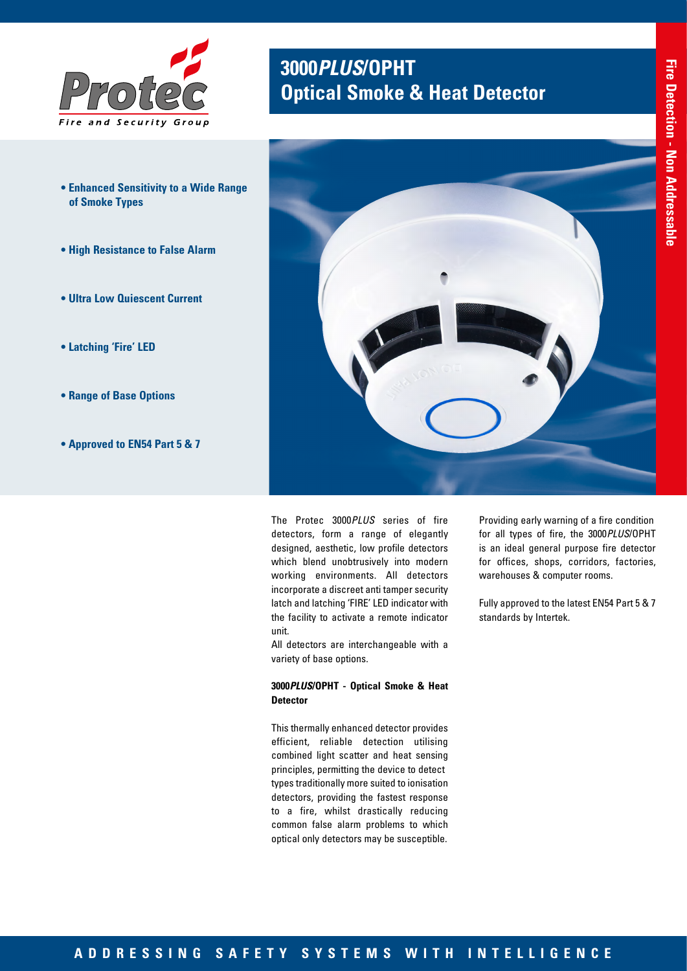

- **Enhanced Sensitivity to a Wide Range of Smoke Types**
- **High Resistance to False Alarm**
- **Ultra Low Quiescent Current**
- **Latching 'Fire' LED**
- **Range of Base Options**
- **Approved to EN54 Part 5 & 7**

# **3000***PLUS***/OPHT Optical Smoke & Heat Detector**



The Protec 3000*PLUS* series of fire detectors, form a range of elegantly designed, aesthetic, low profile detectors which blend unobtrusively into modern working environments. All detectors incorporate a discreet anti tamper security latch and latching 'FIRE' LED indicator with the facility to activate a remote indicator unit.

All detectors are interchangeable with a variety of base options.

### **3000***PLUS***/OPHT - Optical Smoke & Heat Detector**

This thermally enhanced detector provides efficient, reliable detection utilising combined light scatter and heat sensing principles, permitting the device to detect types traditionally more suited to ionisation detectors, providing the fastest response to a fire, whilst drastically reducing common false alarm problems to which optical only detectors may be susceptible.

Providing early warning of a fire condition for all types of fire, the 3000*PLUS*/OPHT is an ideal general purpose fire detector for offices, shops, corridors, factories, warehouses & computer rooms.

Fully approved to the latest EN54 Part 5 & 7 standards by Intertek.